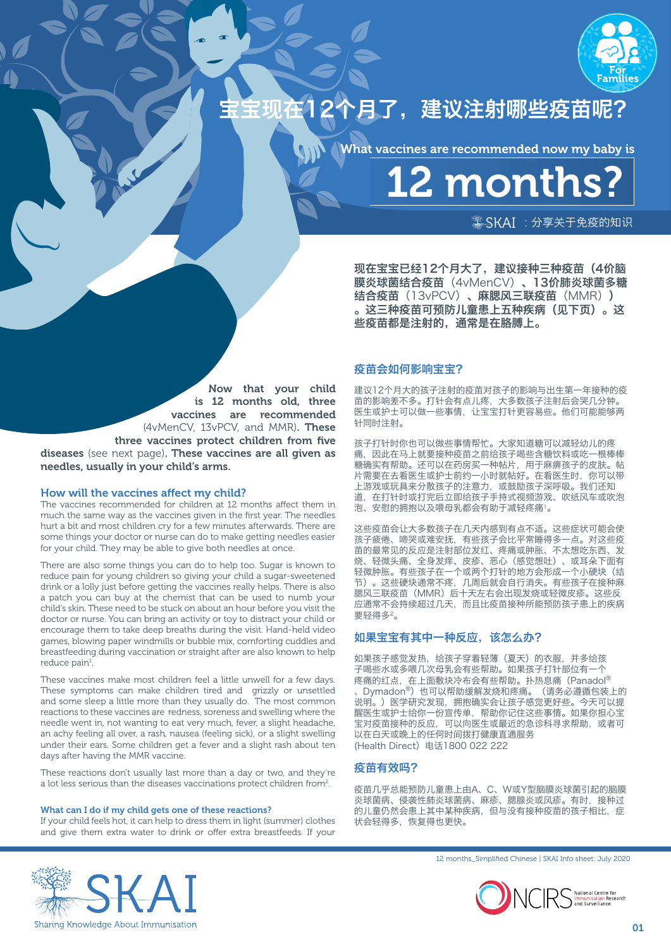

# 宝宝现在12个月了,建议注射哪些疫苗呢?

What vaccines are recommended now my baby is

12 months?

 $\frac{1}{2}$ SKAI: 分享关于免疫的知识

现在宝宝已经12个月大了,建议接种三种疫苗(4价脑 膜炎球菌结合疫苗(4vMenCV)、13价肺炎球菌多糖 结合疫苗(13vPCV)、麻腮风三联疫苗(MMR)) 。这三种疫苗可预防儿童患上五种疾病(见下页)。这 些疫苗都是注射的,通常是在胳膊上。

# 疫苗会如何影响宝宝?

Now that your child is 12 months old, three vaccines are recommended (4vMenCV, 13vPCV, and MMR). These three vaccines protect children from five diseases (see next page). These vaccines are all given as needles, usually in your child's arms.

## How will the vaccines affect my child?

The vaccines recommended for children at 12 months affect them in much the same way as the vaccines given in the first year. The needles hurt a bit and most children cry for a few minutes afterwards. There are some things your doctor or nurse can do to make getting needles easier for your child. They may be able to give both needles at once.

There are also some things you can do to help too. Sugar is known to reduce pain for young children so giving your child a sugar-sweetened drink or a lolly just before getting the vaccines really helps. There is also a patch you can buy at the chemist that can be used to numb your child's skin. These need to be stuck on about an hour before you visit the doctor or nurse. You can bring an activity or toy to distract your child or encourage them to take deep breaths during the visit. Hand-held video games, blowing paper windmills or bubble mix, comforting cuddles and breastfeeding during vaccination or straight after are also known to help reduce pain<sup>1</sup>.

These vaccines make most children feel a little unwell for a few days. These symptoms can make children tired and grizzly or unsettled and some sleep a little more than they usually do. The most common reactions to these vaccines are redness, soreness and swelling where the needle went in, not wanting to eat very much, fever, a slight headache, an achy feeling all over, a rash, nausea (feeling sick), or a slight swelling under their ears. Some children get a fever and a slight rash about ten days after having the MMR vaccine.

These reactions don't usually last more than a day or two, and they're a lot less serious than the diseases vaccinations protect children from<sup>2</sup>.

### What can I do if my child gets one of these reactions?

If your child feels hot, it can help to dress them in light (summer) clothes and give them extra water to drink or offer extra breastfeeds. If your 建议12个月大的孩子注射的疫苗对孩子的影响与出生第一年接种的疫 苗的影响差不多。打针会有点儿疼,大多数孩子注射后会哭几分钟。 医生或护士可以做一些事情,让宝宝打针更容易些。他们可能能够两 针同时注射。

孩子打针时你也可以做些事情帮忙。大家知道糖可以减轻幼儿的疼 痛,因此在马上就要接种疫苗之前给孩子喝些含糖饮料或吃一根棒棒 糖确实有帮助。还可以在药房买一种帖片,用于麻痹孩子的皮肤。帖 片需要在去看医生或护士前约一小时就帖好。在看医生时,你可以带 上游戏或玩具来分散孩子的注意力,或鼓励孩子深呼吸。我们还知 道,在打针时或打完后立即给孩子手持式视频游戏、吹纸风车或吹泡 泡、安慰的拥抱以及喂母乳都会有助于减轻疼痛'。

这些疫苗会让大多数孩子在几天内感到有点不适。这些症状可能会使 孩子疲倦、啼哭或难安抚,有些孩子会比平常睡得多一点。对这些疫 苗的最常见的反应是注射部位发红、疼痛或肿胀、不太想吃东西、发 烧、轻微头痛、全身发痒、皮疹、恶心(感觉想吐)、或耳朵下面有 轻微肿胀。有些孩子在一个或两个打针的地方会形成一个小硬块(结 节)。这些硬块通常不疼,几周后就会自行消失。有些孩子在接种麻 腮风三联疫苗(MMR)后十天左右会出现发烧或轻微皮疹。这些反 应通常不会持续超过几天,而且比疫苗接种所能预防孩子患上的疾病 要轻得多2。

## 如果宝宝有其中一种反应,该怎么办?

如果孩子感觉发热,给孩子穿着轻薄(夏天)的衣服,并多给孩 子喝些水或多喂几次母乳会有些帮助。如果孩子打针部位有一个 疼痛的红点, 在上面敷块冷布会有些帮助。扑热息痛 (Panadol® 、Dymadon®)也可以帮助缓解发烧和疼痛。(请务必遵循包装上的 说明。)医学研究发现,拥抱确实会让孩子感觉更好些。今天可以提 醒医生或护士给你一份宣传单,帮助你记住这些事情。如果你担心宝 宝对疫苗接种的反应,可以向医生或最近的急诊科寻求帮助,或者可 ————————————————————<br>以在白天或晚上的任何时间拨打健康直通服务 (Health Direct)电话1800 022 222

## 疫苗有效吗?

疫苗几乎总能预防儿童患上由A、C、W或Y型脑膜炎球菌引起的脑膜 炎球菌病、侵袭性肺炎球菌病、麻疹、腮腺炎或风疹。有时,接种过 的儿童仍然会患上其中某种疾病,但与没有接种疫苗的孩子相比,症 状会轻得多,恢复得也更快。





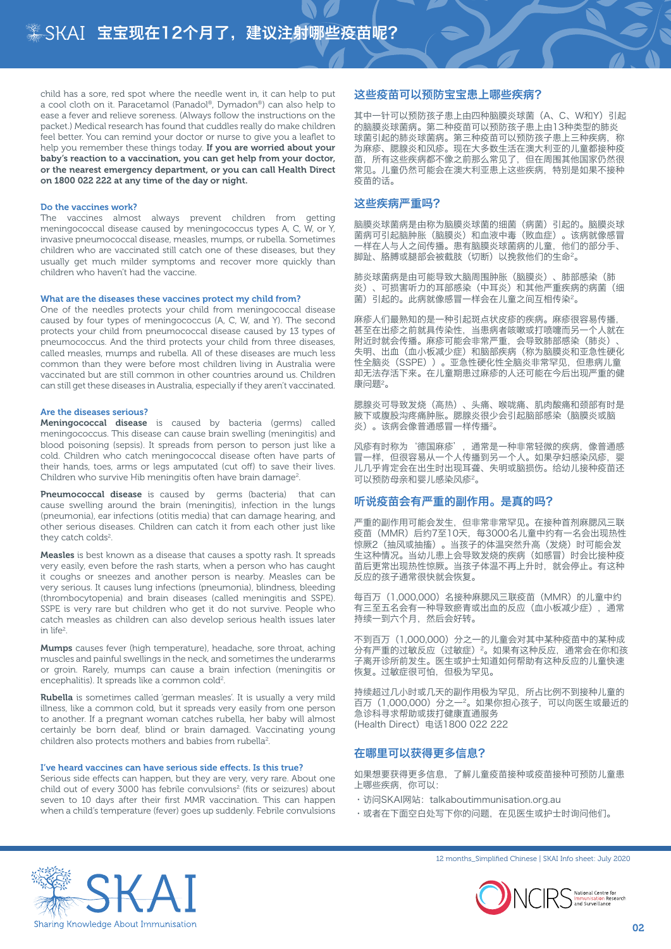child has a sore, red spot where the needle went in, it can help to put a cool cloth on it. Paracetamol (Panadol®, Dymadon®) can also help to ease a fever and relieve soreness. (Always follow the instructions on the packet.) Medical research has found that cuddles really do make children feel better. You can remind your doctor or nurse to give you a leaflet to help you remember these things today. If you are worried about your baby's reaction to a vaccination, you can get help from your doctor, or the nearest emergency department, or you can call Health Direct on 1800 022 222 at any time of the day or night.

#### Do the vaccines work?

The vaccines almost always prevent children from getting meningococcal disease caused by meningococcus types A, C, W, or Y, invasive pneumococcal disease, measles, mumps, or rubella. Sometimes children who are vaccinated still catch one of these diseases, but they usually get much milder symptoms and recover more quickly than children who haven't had the vaccine.

#### What are the diseases these vaccines protect my child from?

One of the needles protects your child from meningococcal disease caused by four types of meningococcus (A, C, W, and Y). The second protects your child from pneumococcal disease caused by 13 types of pneumococcus. And the third protects your child from three diseases, called measles, mumps and rubella. All of these diseases are much less common than they were before most children living in Australia were vaccinated but are still common in other countries around us. Children can still get these diseases in Australia, especially if they aren't vaccinated.

#### Are the diseases serious?

Meningococcal disease is caused by bacteria (germs) called meningococcus. This disease can cause brain swelling (meningitis) and blood poisoning (sepsis). It spreads from person to person just like a cold. Children who catch meningococcal disease often have parts of their hands, toes, arms or legs amputated (cut off) to save their lives. Children who survive Hib meningitis often have brain damage<sup>2</sup>.

Pneumococcal disease is caused by germs (bacteria) that can cause swelling around the brain (meningitis), infection in the lungs (pneumonia), ear infections (otitis media) that can damage hearing, and other serious diseases. Children can catch it from each other just like they catch colds<sup>2</sup>.

Measles is best known as a disease that causes a spotty rash. It spreads very easily, even before the rash starts, when a person who has caught it coughs or sneezes and another person is nearby. Measles can be very serious. It causes lung infections (pneumonia), blindness, bleeding (thrombocytopenia) and brain diseases (called meningitis and SSPE). SSPE is very rare but children who get it do not survive. People who catch measles as children can also develop serious health issues later in life2 .

Mumps causes fever (high temperature), headache, sore throat, aching muscles and painful swellings in the neck, and sometimes the underarms or groin. Rarely, mumps can cause a brain infection (meningitis or encephalitis). It spreads like a common cold<sup>2</sup>.

Rubella is sometimes called 'german measles'. It is usually a very mild illness, like a common cold, but it spreads very easily from one person to another. If a pregnant woman catches rubella, her baby will almost certainly be born deaf, blind or brain damaged. Vaccinating young children also protects mothers and babies from rubella<sup>2</sup>.

#### I've heard vaccines can have serious side effects. Is this true?

Serious side effects can happen, but they are very, very rare. About one child out of every 3000 has febrile convulsions<sup>2</sup> (fits or seizures) about seven to 10 days after their first MMR vaccination. This can happen when a child's temperature (fever) goes up suddenly. Febrile convulsions

## 这些疫苗可以预防宝宝患上哪些疾病?

其中一针可以预防孩子患上由四种脑膜炎球菌(A、C、W和Y)引起 的脑膜炎球菌病。第二种疫苗可以预防孩子患上由13种类型的肺炎 球菌引起的肺炎球菌病。第三种疫苗可以预防孩子患上三种疾病,称 为麻疹、腮腺炎和风疹。现在大多数生活在澳大利亚的儿童都接种疫 苗,所有这些疾病都不像之前那么常见了,但在周围其他国家仍然很 常见。儿童仍然可能会在澳大利亚患上这些疾病,特别是如果不接种 疫苗的话。

# 这些疾病严重吗?

脑膜炎球菌病是由称为脑膜炎球菌的细菌(病菌)引起的。脑膜炎球 菌病可引起脑肿胀(脑膜炎)和血液中毒(败血症)。该病就像感冒 一样在人与人之间传播。患有脑膜炎球菌病的儿童,他们的部分手、 脚趾、胳膊或腿部会被截肢(切断)以挽救他们的生命2。

肺炎球菌病是由可能导致大脑周围肿胀(脑膜炎)、肺部感染(肺 炎)、可损害听力的耳部感染(中耳炎)和其他严重疾病的病菌(细 菌)引起的。此病就像感冒一样会在儿童之间互相传染2。

麻疹人们最熟知的是一种引起斑点状皮疹的疾病。麻疹很容易传播, 甚至在出疹之前就具传染性,当患病者咳嗽或打喷嚏而另一个人就在 附近时就会传播。麻疹可能会非常严重,会导致肺部感染(肺炎) 失明、出血(血小板减少症)和脑部疾病(称为脑膜炎和亚急性硬化 性全脑炎(SSPE))。亚急性硬化性全脑炎非常罕见,但患病儿童 却无法存活下来。在儿童期患过麻疹的人还可能在今后出现严重的健 康问题2。

腮腺炎可导致发烧(高热)、头痛、喉咙痛、肌肉酸痛和颈部有时是 腋下或腹股沟疼痛肿胀。腮腺炎很少会引起脑部感染(脑膜炎或脑 炎)。该病会像普通感冒一样传播2。

风疹有时称为'德国麻疹', 通常是一种非常轻微的疾病, 像普通感 冒一样,但很容易从一个人传播到另一个人。如果孕妇感染风疹,婴 儿几乎肯定会在出生时出现耳聋、失明或脑损伤。给幼儿接种疫苗还 可以预防母亲和婴儿感染风疹2。

## 听说疫苗会有严重的副作用。是真的吗?

严重的副作用可能会发生,但非常非常罕见。在接种首剂麻腮风三联 疫苗(MMR)后约7至10天, 每3000名儿童中约有一名会出现热性 惊厥2(抽风或抽搐)。当孩子的体温突然升高(发烧)时可能会发 生这种情况。当幼儿患上会导致发烧的疾病(如感冒)时会比接种疫 苗后更常出现热性惊厥。当孩子体温不再上升时,就会停止。有这种 反应的孩子通常很快就会恢复。

每百万(1,000,000)名接种麻腮风三联疫苗(MMR)的儿童中约 有三至五名会有一种导致瘀青或出血的反应(血小板减少症),通常 持续一到六个月,然后会好转。

不到百万(1,000,000)分之一的儿童会对其中某种疫苗中的某种成 分有严重的过敏反应(过敏症)<sup>2</sup>。如果有这种反应,通常会在你和孩 子离开诊所前发生。医生或护士知道如何帮助有这种反应的儿童快速 恢复。过敏症很可怕,但极为罕见。

持续超过几小时或几天的副作用极为罕见,所占比例不到接种儿童的 百万(1,000,000)分之一2。如果你担心孩子,可以向医生或最近的 急诊科寻求帮助或拨打健康直通服务 (Health Direct)电话1800 022 222

## 在哪里可以获得更多信息?

如果想要获得更多信息,了解儿童疫苗接种或疫苗接种可预防儿童患 上哪些疾病,你可以:

- · 访问SKAI网站: talkaboutimmunisation.org.au
- •或者在下面空白处写下你的问题,在见医生或护士时询问他们。



12 months\_Simplified Chinese | SKAI Info sheet: July 2020